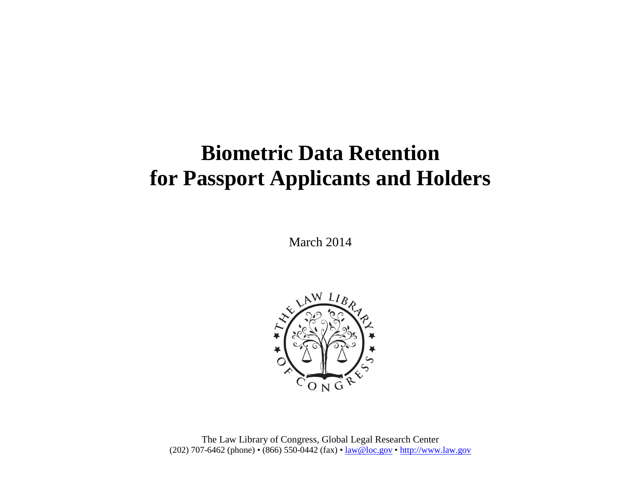## **Biometric Data Retention for Passport Applicants and Holders**

March 2014



The Law Library of Congress, Global Legal Research Center (202) 707-6462 (phone) • (866) 550-0442 (fax) • [law@loc.gov](mailto:law@loc.gov) • [http://www.law.gov](http://www.law.gov/)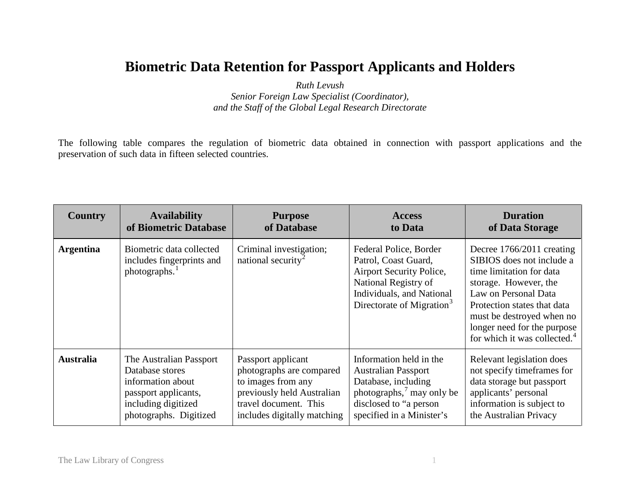## **Biometric Data Retention for Passport Applicants and Holders**

*Ruth Levush Senior Foreign Law Specialist (Coordinator), and the Staff of the Global Legal Research Directorate*

The following table compares the regulation of biometric data obtained in connection with passport applications and the preservation of such data in fifteen selected countries.

| <b>Country</b>   | <b>Availability</b>                                                       | <b>Purpose</b>                                            | <b>Access</b>                                                                                                                                                            | <b>Duration</b>                                                                                                                                                                                                                                                            |
|------------------|---------------------------------------------------------------------------|-----------------------------------------------------------|--------------------------------------------------------------------------------------------------------------------------------------------------------------------------|----------------------------------------------------------------------------------------------------------------------------------------------------------------------------------------------------------------------------------------------------------------------------|
|                  | of Biometric Database                                                     | of Database                                               | to Data                                                                                                                                                                  | of Data Storage                                                                                                                                                                                                                                                            |
| <b>Argentina</b> | Biometric data collected<br>includes fingerprints and<br>photographs. $1$ | Criminal investigation;<br>national security <sup>2</sup> | Federal Police, Border<br>Patrol, Coast Guard,<br>Airport Security Police,<br>National Registry of<br>Individuals, and National<br>Directorate of Migration <sup>3</sup> | Decree 1766/2011 creating<br>SIBIOS does not include a<br>time limitation for data<br>storage. However, the<br>Law on Personal Data<br>Protection states that data<br>must be destroyed when no<br>longer need for the purpose<br>for which it was collected. <sup>4</sup> |
| <b>Australia</b> | The Australian Passport                                                   | Passport applicant                                        | Information held in the                                                                                                                                                  | Relevant legislation does                                                                                                                                                                                                                                                  |
|                  | Database stores                                                           | photographs are compared                                  | <b>Australian Passport</b>                                                                                                                                               | not specify timeframes for                                                                                                                                                                                                                                                 |
|                  | information about                                                         | to images from any                                        | Database, including                                                                                                                                                      | data storage but passport                                                                                                                                                                                                                                                  |
|                  | passport applicants,                                                      | previously held Australian                                | photographs, $\frac{7}{1}$ may only be                                                                                                                                   | applicants' personal                                                                                                                                                                                                                                                       |
|                  | including digitized                                                       | travel document. This                                     | disclosed to "a person                                                                                                                                                   | information is subject to                                                                                                                                                                                                                                                  |
|                  | photographs. Digitized                                                    | includes digitally matching                               | specified in a Minister's                                                                                                                                                | the Australian Privacy                                                                                                                                                                                                                                                     |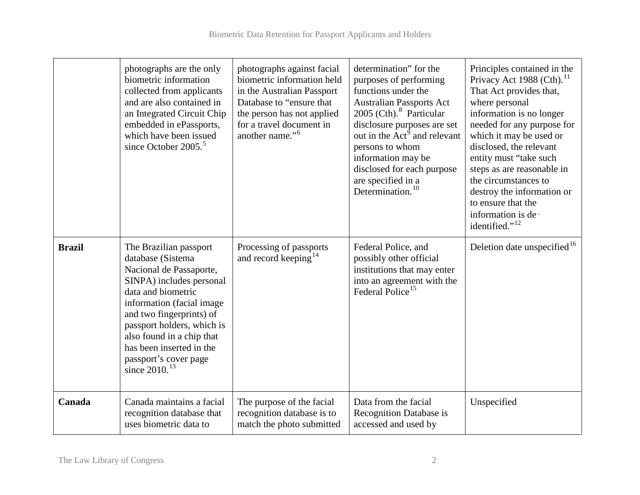|               | photographs are the only<br>biometric information<br>collected from applicants<br>and are also contained in<br>an Integrated Circuit Chip<br>embedded in ePassports,<br>which have been issued<br>since October $2005.5$                                                                                               | photographs against facial<br>biometric information held<br>in the Australian Passport<br>Database to "ensure that<br>the person has not applied<br>for a travel document in<br>another name." <sup>6</sup> | determination" for the<br>purposes of performing<br>functions under the<br><b>Australian Passports Act</b><br>2005 (Cth). <sup>8</sup> Particular<br>disclosure purposes are set<br>out in the Act <sup>9</sup> and relevant<br>persons to whom<br>information may be<br>disclosed for each purpose<br>are specified in a<br>Determination. <sup>10</sup> | Principles contained in the<br>Privacy Act 1988 (Cth). <sup>11</sup><br>That Act provides that,<br>where personal<br>information is no longer<br>needed for any purpose for<br>which it may be used or<br>disclosed, the relevant<br>entity must "take such<br>steps as are reasonable in<br>the circumstances to<br>destroy the information or<br>to ensure that the<br>information is de-<br>identified." <sup>12</sup> |
|---------------|------------------------------------------------------------------------------------------------------------------------------------------------------------------------------------------------------------------------------------------------------------------------------------------------------------------------|-------------------------------------------------------------------------------------------------------------------------------------------------------------------------------------------------------------|-----------------------------------------------------------------------------------------------------------------------------------------------------------------------------------------------------------------------------------------------------------------------------------------------------------------------------------------------------------|---------------------------------------------------------------------------------------------------------------------------------------------------------------------------------------------------------------------------------------------------------------------------------------------------------------------------------------------------------------------------------------------------------------------------|
| <b>Brazil</b> | The Brazilian passport<br>database (Sistema<br>Nacional de Passaporte,<br>SINPA) includes personal<br>data and biometric<br>information (facial image<br>and two fingerprints) of<br>passport holders, which is<br>also found in a chip that<br>has been inserted in the<br>passport's cover page<br>since $2010^{13}$ | Processing of passports<br>and record keeping <sup>14</sup>                                                                                                                                                 | Federal Police, and<br>possibly other official<br>institutions that may enter<br>into an agreement with the<br>Federal Police <sup>15</sup>                                                                                                                                                                                                               | Deletion date unspecified <sup>16</sup>                                                                                                                                                                                                                                                                                                                                                                                   |
| Canada        | Canada maintains a facial<br>recognition database that<br>uses biometric data to                                                                                                                                                                                                                                       | The purpose of the facial<br>recognition database is to<br>match the photo submitted                                                                                                                        | Data from the facial<br>Recognition Database is<br>accessed and used by                                                                                                                                                                                                                                                                                   | Unspecified                                                                                                                                                                                                                                                                                                                                                                                                               |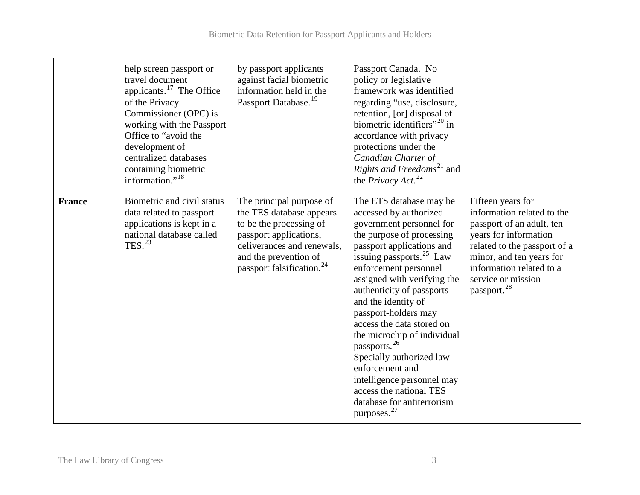|               | help screen passport or<br>travel document<br>applicants. $^{17}$ The Office<br>of the Privacy<br>Commissioner (OPC) is<br>working with the Passport<br>Office to "avoid the<br>development of<br>centralized databases<br>containing biometric<br>information." <sup>18</sup> | by passport applicants<br>against facial biometric<br>information held in the<br>Passport Database. <sup>19</sup>                                                                                         | Passport Canada. No<br>policy or legislative<br>framework was identified<br>regarding "use, disclosure,<br>retention, [or] disposal of<br>biometric identifiers" <sup>20</sup> in<br>accordance with privacy<br>protections under the<br>Canadian Charter of<br>Rights and Freedoms <sup>21</sup> and<br>the <i>Privacy</i> Act. <sup>22</sup>                                                                                                                                                                                                                         |                                                                                                                                                                                                                                                |
|---------------|--------------------------------------------------------------------------------------------------------------------------------------------------------------------------------------------------------------------------------------------------------------------------------|-----------------------------------------------------------------------------------------------------------------------------------------------------------------------------------------------------------|------------------------------------------------------------------------------------------------------------------------------------------------------------------------------------------------------------------------------------------------------------------------------------------------------------------------------------------------------------------------------------------------------------------------------------------------------------------------------------------------------------------------------------------------------------------------|------------------------------------------------------------------------------------------------------------------------------------------------------------------------------------------------------------------------------------------------|
| <b>France</b> | Biometric and civil status<br>data related to passport<br>applications is kept in a<br>national database called<br>TES. $^{23}$                                                                                                                                                | The principal purpose of<br>the TES database appears<br>to be the processing of<br>passport applications,<br>deliverances and renewals.<br>and the prevention of<br>passport falsification. <sup>24</sup> | The ETS database may be<br>accessed by authorized<br>government personnel for<br>the purpose of processing<br>passport applications and<br>issuing passports. $^{25}$ Law<br>enforcement personnel<br>assigned with verifying the<br>authenticity of passports<br>and the identity of<br>passport-holders may<br>access the data stored on<br>the microchip of individual<br>passports. <sup>26</sup><br>Specially authorized law<br>enforcement and<br>intelligence personnel may<br>access the national TES<br>database for antiterrorism<br>purposes. <sup>27</sup> | Fifteen years for<br>information related to the<br>passport of an adult, ten<br>years for information<br>related to the passport of a<br>minor, and ten years for<br>information related to a<br>service or mission<br>passport. <sup>28</sup> |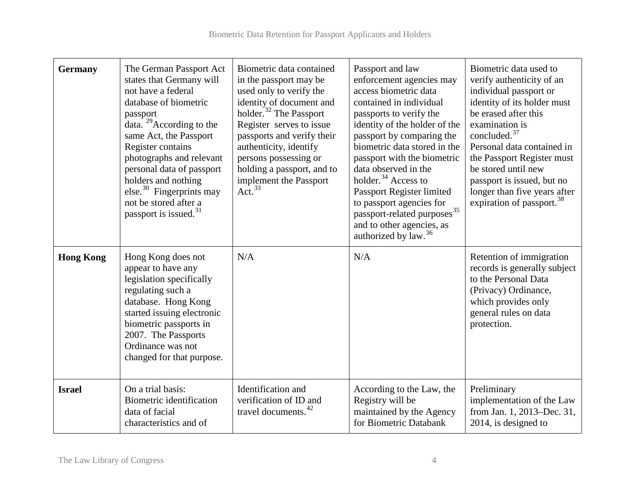| <b>Germany</b>   | The German Passport Act<br>states that Germany will<br>not have a federal<br>database of biometric<br>passport<br>data. <sup>29</sup> According to the<br>same Act, the Passport<br>Register contains<br>photographs and relevant<br>personal data of passport<br>holders and nothing<br>else. $30$ Fingerprints may<br>not be stored after a<br>passport is issued. <sup>31</sup> | Biometric data contained<br>in the passport may be<br>used only to verify the<br>identity of document and<br>holder. <sup>32</sup> The Passport<br>Register serves to issue<br>passports and verify their<br>authenticity, identify<br>persons possessing or<br>holding a passport, and to<br>implement the Passport<br>Act. $33$ | Passport and law<br>enforcement agencies may<br>access biometric data<br>contained in individual<br>passports to verify the<br>identity of the holder of the<br>passport by comparing the<br>biometric data stored in the<br>passport with the biometric<br>data observed in the<br>holder. <sup>34</sup> Access to<br>Passport Register limited<br>to passport agencies for<br>passport-related purposes <sup>35</sup><br>and to other agencies, as<br>authorized by law. <sup>36</sup> | Biometric data used to<br>verify authenticity of an<br>individual passport or<br>identity of its holder must<br>be erased after this<br>examination is<br>concluded. <sup>37</sup><br>Personal data contained in<br>the Passport Register must<br>be stored until new<br>passport is issued, but no<br>longer than five years after<br>expiration of passport. <sup>38</sup> |
|------------------|------------------------------------------------------------------------------------------------------------------------------------------------------------------------------------------------------------------------------------------------------------------------------------------------------------------------------------------------------------------------------------|-----------------------------------------------------------------------------------------------------------------------------------------------------------------------------------------------------------------------------------------------------------------------------------------------------------------------------------|------------------------------------------------------------------------------------------------------------------------------------------------------------------------------------------------------------------------------------------------------------------------------------------------------------------------------------------------------------------------------------------------------------------------------------------------------------------------------------------|------------------------------------------------------------------------------------------------------------------------------------------------------------------------------------------------------------------------------------------------------------------------------------------------------------------------------------------------------------------------------|
| <b>Hong Kong</b> | Hong Kong does not<br>appear to have any<br>legislation specifically<br>regulating such a<br>database. Hong Kong<br>started issuing electronic<br>biometric passports in<br>2007. The Passports<br>Ordinance was not<br>changed for that purpose.                                                                                                                                  | N/A                                                                                                                                                                                                                                                                                                                               | N/A                                                                                                                                                                                                                                                                                                                                                                                                                                                                                      | Retention of immigration<br>records is generally subject<br>to the Personal Data<br>(Privacy) Ordinance,<br>which provides only<br>general rules on data<br>protection.                                                                                                                                                                                                      |
| <b>Israel</b>    | On a trial basis:<br>Biometric identification<br>data of facial<br>characteristics and of                                                                                                                                                                                                                                                                                          | Identification and<br>verification of ID and<br>travel documents. <sup>42</sup>                                                                                                                                                                                                                                                   | According to the Law, the<br>Registry will be<br>maintained by the Agency<br>for Biometric Databank                                                                                                                                                                                                                                                                                                                                                                                      | Preliminary<br>implementation of the Law<br>from Jan. 1, 2013–Dec. 31,<br>$2014$ , is designed to                                                                                                                                                                                                                                                                            |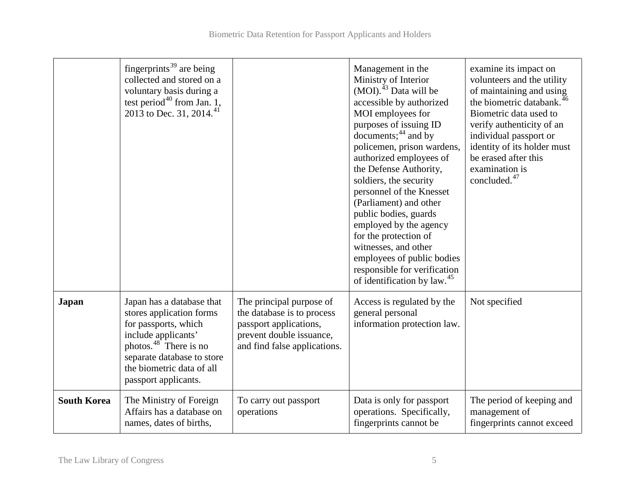|                    | fingerprints <sup>39</sup> are being<br>collected and stored on a<br>voluntary basis during a<br>test period <sup>40</sup> from Jan. 1,<br>2013 to Dec. 31, 2014. <sup>41</sup>                                               |                                                                                                                                              | Management in the<br>Ministry of Interior<br>(MOI). <sup>43</sup> Data will be<br>accessible by authorized<br>MOI employees for<br>purposes of issuing ID<br>documents; $44$ and by<br>policemen, prison wardens,<br>authorized employees of<br>the Defense Authority,<br>soldiers, the security<br>personnel of the Knesset<br>(Parliament) and other<br>public bodies, guards<br>employed by the agency<br>for the protection of<br>witnesses, and other<br>employees of public bodies<br>responsible for verification<br>of identification by law. <sup>45</sup> | examine its impact on<br>volunteers and the utility<br>of maintaining and using<br>the biometric databank. <sup>46</sup><br>Biometric data used to<br>verify authenticity of an<br>individual passport or<br>identity of its holder must<br>be erased after this<br>examination is<br>concluded. <sup>47</sup> |
|--------------------|-------------------------------------------------------------------------------------------------------------------------------------------------------------------------------------------------------------------------------|----------------------------------------------------------------------------------------------------------------------------------------------|---------------------------------------------------------------------------------------------------------------------------------------------------------------------------------------------------------------------------------------------------------------------------------------------------------------------------------------------------------------------------------------------------------------------------------------------------------------------------------------------------------------------------------------------------------------------|----------------------------------------------------------------------------------------------------------------------------------------------------------------------------------------------------------------------------------------------------------------------------------------------------------------|
| <b>Japan</b>       | Japan has a database that<br>stores application forms<br>for passports, which<br>include applicants'<br>photos. $48^{\degree}$ There is no<br>separate database to store<br>the biometric data of all<br>passport applicants. | The principal purpose of<br>the database is to process<br>passport applications,<br>prevent double issuance,<br>and find false applications. | Access is regulated by the<br>general personal<br>information protection law.                                                                                                                                                                                                                                                                                                                                                                                                                                                                                       | Not specified                                                                                                                                                                                                                                                                                                  |
| <b>South Korea</b> | The Ministry of Foreign<br>Affairs has a database on<br>names, dates of births,                                                                                                                                               | To carry out passport<br>operations                                                                                                          | Data is only for passport<br>operations. Specifically,<br>fingerprints cannot be                                                                                                                                                                                                                                                                                                                                                                                                                                                                                    | The period of keeping and<br>management of<br>fingerprints cannot exceed                                                                                                                                                                                                                                       |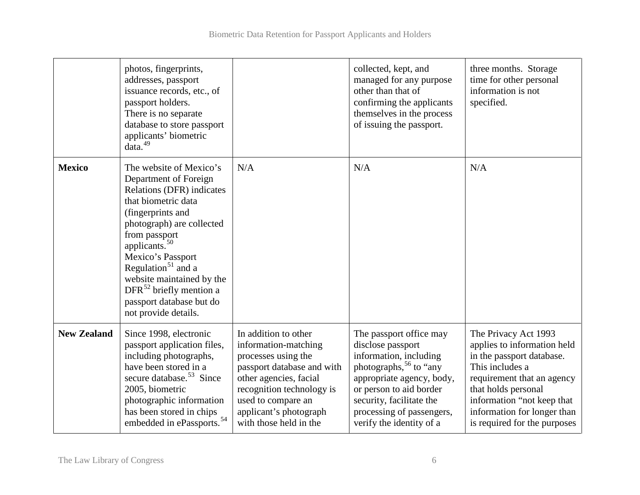|                    | photos, fingerprints,<br>addresses, passport<br>issuance records, etc., of<br>passport holders.<br>There is no separate<br>database to store passport<br>applicants' biometric<br>data. <sup>49</sup>                                                                                                                                                                |                                                                                                                                                                                                                                    | collected, kept, and<br>managed for any purpose<br>other than that of<br>confirming the applicants<br>themselves in the process<br>of issuing the passport.                                                                                               | three months. Storage<br>time for other personal<br>information is not<br>specified.                                                                                                                                                                  |
|--------------------|----------------------------------------------------------------------------------------------------------------------------------------------------------------------------------------------------------------------------------------------------------------------------------------------------------------------------------------------------------------------|------------------------------------------------------------------------------------------------------------------------------------------------------------------------------------------------------------------------------------|-----------------------------------------------------------------------------------------------------------------------------------------------------------------------------------------------------------------------------------------------------------|-------------------------------------------------------------------------------------------------------------------------------------------------------------------------------------------------------------------------------------------------------|
| <b>Mexico</b>      | The website of Mexico's<br>Department of Foreign<br>Relations (DFR) indicates<br>that biometric data<br>(fingerprints and<br>photograph) are collected<br>from passport<br>applicants. $50$<br>Mexico's Passport<br>Regulation <sup>51</sup> and a<br>website maintained by the<br>DFR $^{52}$ briefly mention a<br>passport database but do<br>not provide details. | N/A                                                                                                                                                                                                                                | N/A                                                                                                                                                                                                                                                       | N/A                                                                                                                                                                                                                                                   |
| <b>New Zealand</b> | Since 1998, electronic<br>passport application files,<br>including photographs,<br>have been stored in a<br>secure database. <sup>53</sup> Since<br>2005, biometric<br>photographic information<br>has been stored in chips<br>embedded in ePassports. <sup>54</sup>                                                                                                 | In addition to other<br>information-matching<br>processes using the<br>passport database and with<br>other agencies, facial<br>recognition technology is<br>used to compare an<br>applicant's photograph<br>with those held in the | The passport office may<br>disclose passport<br>information, including<br>photographs, <sup>56</sup> to "any<br>appropriate agency, body,<br>or person to aid border<br>security, facilitate the<br>processing of passengers,<br>verify the identity of a | The Privacy Act 1993<br>applies to information held<br>in the passport database.<br>This includes a<br>requirement that an agency<br>that holds personal<br>information "not keep that<br>information for longer than<br>is required for the purposes |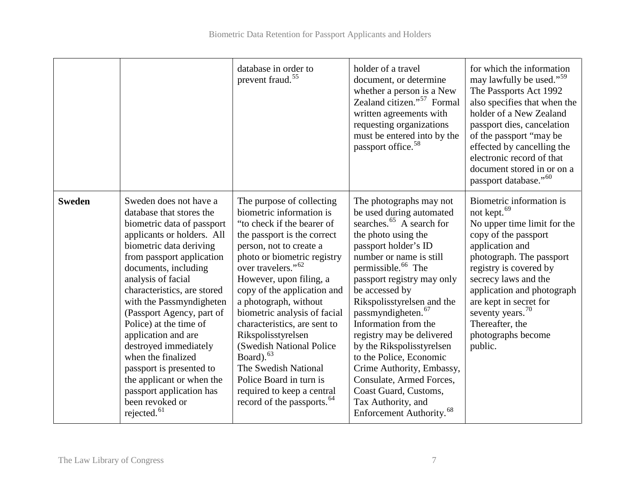|               |                                                                                                                                                                                                                                                                                                                                                                                                                                                                                                                                                 | database in order to<br>prevent fraud. <sup>55</sup>                                                                                                                                                                                                                                                                                                                                                                                                                                                                                                            | holder of a travel<br>document, or determine<br>whether a person is a New<br>Zealand citizen." <sup>57</sup> Formal<br>written agreements with<br>requesting organizations<br>must be entered into by the<br>passport office. <sup>58</sup>                                                                                                                                                                                                                                                                                                                                 | for which the information<br>may lawfully be used." <sup>59</sup><br>The Passports Act 1992<br>also specifies that when the<br>holder of a New Zealand<br>passport dies, cancelation<br>of the passport "may be<br>effected by cancelling the<br>electronic record of that<br>document stored in or on a<br>passport database." <sup>60</sup>  |
|---------------|-------------------------------------------------------------------------------------------------------------------------------------------------------------------------------------------------------------------------------------------------------------------------------------------------------------------------------------------------------------------------------------------------------------------------------------------------------------------------------------------------------------------------------------------------|-----------------------------------------------------------------------------------------------------------------------------------------------------------------------------------------------------------------------------------------------------------------------------------------------------------------------------------------------------------------------------------------------------------------------------------------------------------------------------------------------------------------------------------------------------------------|-----------------------------------------------------------------------------------------------------------------------------------------------------------------------------------------------------------------------------------------------------------------------------------------------------------------------------------------------------------------------------------------------------------------------------------------------------------------------------------------------------------------------------------------------------------------------------|------------------------------------------------------------------------------------------------------------------------------------------------------------------------------------------------------------------------------------------------------------------------------------------------------------------------------------------------|
| <b>Sweden</b> | Sweden does not have a<br>database that stores the<br>biometric data of passport<br>applicants or holders. All<br>biometric data deriving<br>from passport application<br>documents, including<br>analysis of facial<br>characteristics, are stored<br>with the Passmyndigheten<br>(Passport Agency, part of<br>Police) at the time of<br>application and are<br>destroyed immediately<br>when the finalized<br>passport is presented to<br>the applicant or when the<br>passport application has<br>been revoked or<br>rejected. <sup>61</sup> | The purpose of collecting<br>biometric information is<br>"to check if the bearer of<br>the passport is the correct<br>person, not to create a<br>photo or biometric registry<br>over travelers." <sup>62</sup><br>However, upon filing, a<br>copy of the application and<br>a photograph, without<br>biometric analysis of facial<br>characteristics, are sent to<br>Rikspolisstyrelsen<br>(Swedish National Police)<br>Board). $63$<br>The Swedish National<br>Police Board in turn is<br>required to keep a central<br>record of the passports. <sup>64</sup> | The photographs may not<br>be used during automated<br>searches. $65$ A search for<br>the photo using the<br>passport holder's ID<br>number or name is still<br>permissible. <sup>66</sup> The<br>passport registry may only<br>be accessed by<br>Rikspolisstyrelsen and the<br>passmyndigheten. <sup>67</sup><br>Information from the<br>registry may be delivered<br>by the Rikspolisstyrelsen<br>to the Police, Economic<br>Crime Authority, Embassy,<br>Consulate, Armed Forces,<br>Coast Guard, Customs,<br>Tax Authority, and<br>Enforcement Authority. <sup>68</sup> | Biometric information is<br>not kept. <sup>69</sup><br>No upper time limit for the<br>copy of the passport<br>application and<br>photograph. The passport<br>registry is covered by<br>secrecy laws and the<br>application and photograph<br>are kept in secret for<br>seventy years. $70$<br>Thereafter, the<br>photographs become<br>public. |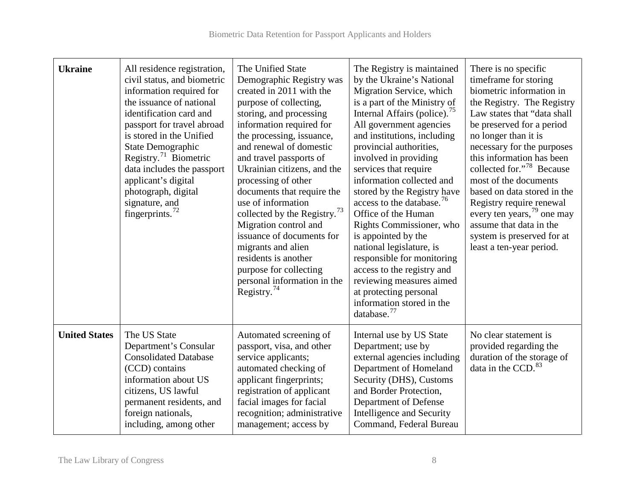| <b>Ukraine</b>       | All residence registration,<br>civil status, and biometric<br>information required for<br>the issuance of national<br>identification card and<br>passport for travel abroad<br>is stored in the Unified<br>State Demographic<br>Registry. <sup>71</sup> Biometric<br>data includes the passport<br>applicant's digital<br>photograph, digital<br>signature, and<br>fingerprints. $72$ | The Unified State<br>Demographic Registry was<br>created in 2011 with the<br>purpose of collecting,<br>storing, and processing<br>information required for<br>the processing, issuance,<br>and renewal of domestic<br>and travel passports of<br>Ukrainian citizens, and the<br>processing of other<br>documents that require the<br>use of information<br>collected by the Registry. <sup>73</sup><br>Migration control and<br>issuance of documents for<br>migrants and alien<br>residents is another<br>purpose for collecting<br>personal information in the<br>Registry. <sup>74</sup> | The Registry is maintained<br>by the Ukraine's National<br>Migration Service, which<br>is a part of the Ministry of<br>Internal Affairs (police). <sup>75</sup><br>All government agencies<br>and institutions, including<br>provincial authorities,<br>involved in providing<br>services that require<br>information collected and<br>stored by the Registry have<br>access to the database. <sup>76</sup><br>Office of the Human<br>Rights Commissioner, who<br>is appointed by the<br>national legislature, is<br>responsible for monitoring<br>access to the registry and<br>reviewing measures aimed<br>at protecting personal<br>information stored in the<br>database. <sup>77</sup> | There is no specific<br>timeframe for storing<br>biometric information in<br>the Registry. The Registry<br>Law states that "data shall<br>be preserved for a period<br>no longer than it is<br>necessary for the purposes<br>this information has been<br>collected for." <sup>78</sup> Because<br>most of the documents<br>based on data stored in the<br>Registry require renewal<br>every ten years, $^{79}$ one may<br>assume that data in the<br>system is preserved for at<br>least a ten-year period. |
|----------------------|---------------------------------------------------------------------------------------------------------------------------------------------------------------------------------------------------------------------------------------------------------------------------------------------------------------------------------------------------------------------------------------|---------------------------------------------------------------------------------------------------------------------------------------------------------------------------------------------------------------------------------------------------------------------------------------------------------------------------------------------------------------------------------------------------------------------------------------------------------------------------------------------------------------------------------------------------------------------------------------------|---------------------------------------------------------------------------------------------------------------------------------------------------------------------------------------------------------------------------------------------------------------------------------------------------------------------------------------------------------------------------------------------------------------------------------------------------------------------------------------------------------------------------------------------------------------------------------------------------------------------------------------------------------------------------------------------|--------------------------------------------------------------------------------------------------------------------------------------------------------------------------------------------------------------------------------------------------------------------------------------------------------------------------------------------------------------------------------------------------------------------------------------------------------------------------------------------------------------|
| <b>United States</b> | The US State<br>Department's Consular<br><b>Consolidated Database</b><br>(CCD) contains<br>information about US<br>citizens, US lawful<br>permanent residents, and<br>foreign nationals,<br>including, among other                                                                                                                                                                    | Automated screening of<br>passport, visa, and other<br>service applicants;<br>automated checking of<br>applicant fingerprints;<br>registration of applicant<br>facial images for facial<br>recognition; administrative<br>management; access by                                                                                                                                                                                                                                                                                                                                             | Internal use by US State<br>Department; use by<br>external agencies including<br>Department of Homeland<br>Security (DHS), Customs<br>and Border Protection,<br>Department of Defense<br>Intelligence and Security<br>Command, Federal Bureau                                                                                                                                                                                                                                                                                                                                                                                                                                               | No clear statement is<br>provided regarding the<br>duration of the storage of<br>data in the CCD. <sup>83</sup>                                                                                                                                                                                                                                                                                                                                                                                              |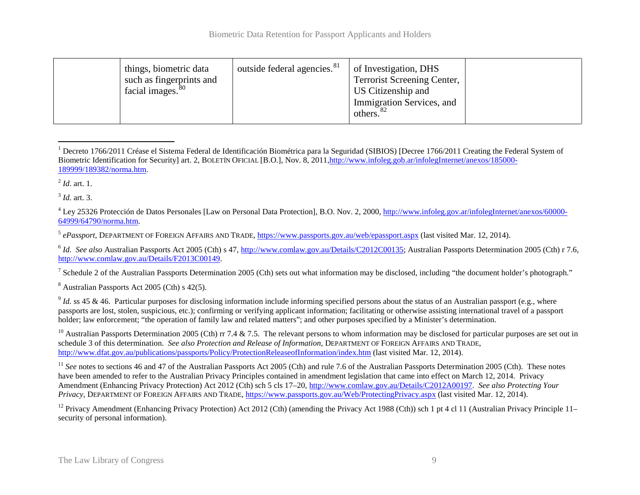<span id="page-9-0"></span>

| things, biometric data<br>such as fingerprints and<br>facial images. <sup>80</sup> | outside federal agencies. <sup>81</sup> | of Investigation, DHS<br>Terrorist Screening Center,<br>US Citizenship and<br>Immigration Services, and<br>others. $82$ |  |
|------------------------------------------------------------------------------------|-----------------------------------------|-------------------------------------------------------------------------------------------------------------------------|--|
|------------------------------------------------------------------------------------|-----------------------------------------|-------------------------------------------------------------------------------------------------------------------------|--|

 $^1$  Decreto 1766/2011 Créase el Sistema Federal de Identificación Biométrica para la Seguridad (SIBIOS) [Decree 1766/2011 Creating the Federal System of Biometric Identification for Security] art. 2, BOLETÍN OFICIAL [B.O.], Nov. 8, 201[1,http://www.infoleg.gob.ar/infolegInternet/anexos/185000-](http://www.infoleg.gob.ar/infolegInternet/anexos/185000-189999/189382/norma.htm) [189999/189382/norma.htm.](http://www.infoleg.gob.ar/infolegInternet/anexos/185000-189999/189382/norma.htm)  $\overline{a}$ 

<sup>2</sup> *Id*. art. 1.

<sup>3</sup> *Id.* art. 3.

<sup>4</sup> Ley 25326 Protección de Datos Personales [Law on Personal Data Protection], B.O. Nov. 2, 2000, [http://www.infoleg.gov.ar/infolegInternet/anexos/60000-](http://www.infoleg.gov.ar/infolegInternet/anexos/60000-64999/64790/norma.htm) [64999/64790/norma.htm.](http://www.infoleg.gov.ar/infolegInternet/anexos/60000-64999/64790/norma.htm)

<sup>5</sup> *ePassport*, DEPARTMENT OF FOREIGN AFFAIRS AND TRADE[, https://www.passports.gov.au/web/epassport.aspx](https://www.passports.gov.au/web/epassport.aspx) (last visited Mar. 12, 2014).

<sup>6</sup> *Id.* See also Australian Passports Act 2005 (Cth) s 47, [http://www.comlaw.gov.au/Details/C2012C00135;](http://www.comlaw.gov.au/Details/C2012C00135) Australian Passports Determination 2005 (Cth) r 7.6, [http://www.comlaw.gov.au/Details/F2013C00149.](http://www.comlaw.gov.au/Details/F2013C00149) 

<sup>7</sup> Schedule 2 of the Australian Passports Determination 2005 (Cth) sets out what information may be disclosed, including "the document holder's photograph."

<sup>8</sup> Australian Passports Act 2005 (Cth) s 42(5).

<sup>9</sup> *Id.* ss 45 & 46. Particular purposes for disclosing information include informing specified persons about the status of an Australian passport (e.g., where passports are lost, stolen, suspicious, etc.); confirming or verifying applicant information; facilitating or otherwise assisting international travel of a passport holder; law enforcement; "the operation of family law and related matters"; and other purposes specified by a Minister's determination.

<sup>10</sup> Australian Passports Determination 2005 (Cth) rr 7.4 & 7.5. The relevant persons to whom information may be disclosed for particular purposes are set out in schedule 3 of this determination. *See also Protection and Release of Information*, DEPARTMENT OF FOREIGN AFFAIRS AND TRADE, <http://www.dfat.gov.au/publications/passports/Policy/ProtectionReleaseofInformation/index.htm> (last visited Mar. 12, 2014).

<sup>11</sup> *See* notes to sections 46 and 47 of the Australian Passports Act 2005 (Cth) and rule 7.6 of the Australian Passports Determination 2005 (Cth). These notes have been amended to refer to the Australian Privacy Principles contained in amendment legislation that came into effect on March 12, 2014. Privacy Amendment (Enhancing Privacy Protection) Act 2012 (Cth) sch 5 cls 17–20[, http://www.comlaw.gov.au/Details/C2012A00197.](http://www.comlaw.gov.au/Details/C2012A00197) *See also Protecting Your Privacy*, DEPARTMENT OF FOREIGN AFFAIRS AND TRADE,<https://www.passports.gov.au/Web/ProtectingPrivacy.aspx> (last visited Mar. 12, 2014).

<sup>12</sup> Privacy Amendment (Enhancing Privacy Protection) Act 2012 (Cth) (amending the Privacy Act 1988 (Cth)) sch 1 pt 4 cl 11 (Australian Privacy Principle 11– security of personal information).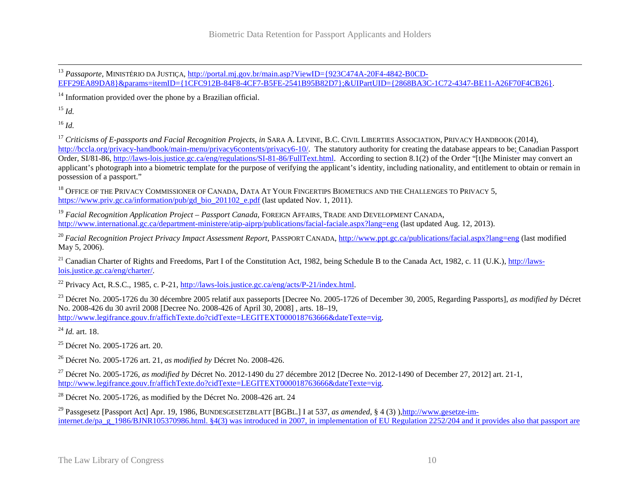$14$  Information provided over the phone by a Brazilian official.

<sup>15</sup> *Id.*

<sup>16</sup> *Id.*

<sup>17</sup> Criticisms of E-passports and Facial Recognition Projects, in SARA A. LEVINE, B.C. CIVIL LIBERTIES ASSOCIATION, PRIVACY HANDBOOK (2014), [http://bccla.org/privacy-handbook/main-menu/privacy6contents/privacy6-10/.](http://bccla.org/privacy-handbook/main-menu/privacy6contents/privacy6-10/) The statutory authority for creating the database appears to be; Canadian Passport Order, SI/81-86, [http://laws-lois.justice.gc.ca/eng/regulations/SI-81-86/FullText.html.](http://laws-lois.justice.gc.ca/eng/regulations/SI-81-86/FullText.html) According to section 8.1(2) of the Order "[t]he Minister may convert an applicant's photograph into a biometric template for the purpose of verifying the applicant's identity, including nationality, and entitlement to obtain or remain in possession of a passport."

<sup>18</sup> OFFICE OF THE PRIVACY COMMISSIONER OF CANADA, DATA AT YOUR FINGERTIPS BIOMETRICS AND THE CHALLENGES TO PRIVACY 5, [https://www.priv.gc.ca/information/pub/gd\\_bio\\_201102\\_e.pdf](https://www.priv.gc.ca/information/pub/gd_bio_201102_e.pdf) (last updated Nov. 1, 2011).

<sup>19</sup> *Facial Recognition Application Project – Passport Canada*, FOREIGN AFFAIRS, TRADE AND DEVELOPMENT CANADA, <http://www.international.gc.ca/department-ministere/atip-aiprp/publications/facial-faciale.aspx?lang=eng> (last updated Aug. 12, 2013).

<sup>20</sup> Facial Recognition Project Privacy Impact Assessment Report, PASSPORT CANADA,<http://www.ppt.gc.ca/publications/facial.aspx?lang=eng> (last modified May 5, 2006).

<sup>21</sup> Canadian Charter of Rights and Freedoms, Part I of the Constitution Act, 1982, being Schedule B to the Canada Act, 1982, c. 11 (U.K.), [http://laws](http://laws-lois.justice.gc.ca/eng/charter/)[lois.justice.gc.ca/eng/charter/.](http://laws-lois.justice.gc.ca/eng/charter/)

<sup>22</sup> Privacy Act, R.S.C., 1985, c. P-21, [http://laws-lois.justice.gc.ca/eng/acts/P-21/index.html.](http://laws-lois.justice.gc.ca/eng/acts/P-21/index.html)

<sup>23</sup> Décret No. 2005-1726 du 30 décembre 2005 relatif aux passeports [Decree No. 2005-1726 of December 30, 2005, Regarding Passports], *as modified by* Décret No. 2008-426 du 30 avril 2008 [Decree No. 2008-426 of April 30, 2008] , arts. 18–19, [http://www.legifrance.gouv.fr/affichTexte.do?cidTexte=LEGITEXT000018763666&dateTexte=vig.](http://www.legifrance.gouv.fr/affichTexte.do?cidTexte=LEGITEXT000018763666&dateTexte=vig)

<sup>24</sup> *Id.* art. 18.

<sup>25</sup> Décret No. 2005-1726 art. 20.

<sup>26</sup> Décret No. 2005-1726 art. 21, *as modified by* Décret No. 2008-426.

<sup>27</sup> Décret No. 2005-1726, *as modified by* Décret No. 2012-1490 du 27 décembre 2012 [Decree No. 2012-1490 of December 27, 2012] art. 21-1, [http://www.legifrance.gouv.fr/affichTexte.do?cidTexte=LEGITEXT000018763666&dateTexte=vig.](http://www.legifrance.gouv.fr/affichTexte.do?cidTexte=LEGITEXT000018763666&dateTexte=vig)

<sup>28</sup> Décret No. 2005-1726, as modified by the Décret No. 2008-426 art. 24

<sup>29</sup> Passgesetz [Passport Act] Apr. 19, 1986, BUNDESGESETZBLATT [BGBL.] I at 537, *as amended*, § 4 (3) )[,http://www.gesetze-im](http://www.gesetze-im-internet.de/pa_g_1986/BJNR105370986.html)[internet.de/pa\\_g\\_1986/BJNR105370986.html.](http://www.gesetze-im-internet.de/pa_g_1986/BJNR105370986.html) §4(3) was introduced in 2007, in implementation of EU Regulation 2252/204 and it provides also that passport are

<span id="page-10-2"></span><span id="page-10-1"></span><span id="page-10-0"></span><sup>&</sup>lt;sup>13</sup> *Passaporte*, MINISTÉRIO DA JUSTIÇA, <u>http://portal.mj.gov.br/main.asp?ViewID={923C474A-20F4-4842-B0CD-</u> [EFF29EA89DA8}&params=itemID={1CFC912B-84F8-4CF7-B5FE-2541B95B82D7};&UIPartUID={2868BA3C-1C72-4347-BE11-A26F70F4CB26}.](http://portal.mj.gov.br/main.asp?ViewID=%7b923C474A-20F4-4842-B0CD-EFF29EA89DA8%7d¶ms=itemID=%7b1CFC912B-84F8-4CF7-B5FE-2541B95B82D7%7d;&UIPartUID=%7b2868BA3C-1C72-4347-BE11-A26F70F4CB26%7d)  $\overline{a}$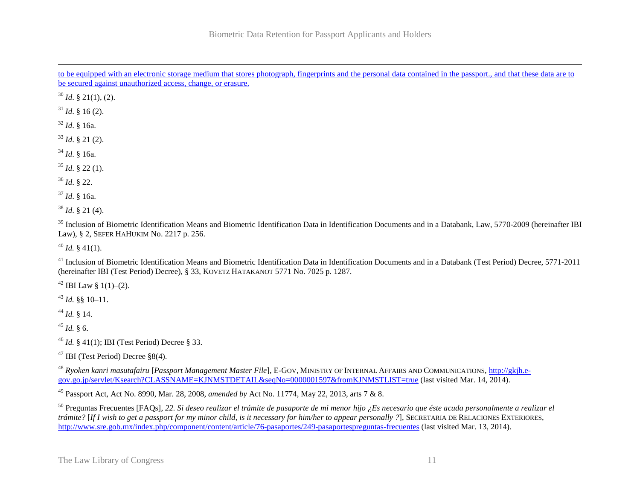<span id="page-11-0"></span>to be equipped with an electronic storage medium that stores photograph, fingerprints and the personal data contained in the passport., and that these data are to be secured against unauthorized access, change, or erasure.  $\overline{a}$ 

 $30$  *Id.* § 21(1), (2).

 $31$  *Id.* § 16 (2).

<sup>32</sup> *Id*. § 16a.

<sup>33</sup> *Id*. § 21 (2).

<sup>34</sup> *Id*. § 16a.

<sup>35</sup> *Id*. § 22 (1).

<sup>36</sup> *Id*. § 22.

<sup>37</sup> *Id*. § 16a.

 $38$  *Id.* § 21 (4).

<sup>39</sup> Inclusion of Biometric Identification Means and Biometric Identification Data in Identification Documents and in a Databank, Law, 5770-2009 (hereinafter IBI Law), § 2, SEFER HAHUKIM No. 2217 p. 256.

 $^{40}$  *Id.* § 41(1).

<sup>41</sup> Inclusion of Biometric Identification Means and Biometric Identification Data in Identification Documents and in a Databank (Test Period) Decree, 5771-2011 (hereinafter IBI (Test Period) Decree), § 33, KOVETZ HATAKANOT 5771 No. 7025 p. 1287.

<sup>42</sup> IBI Law § 1(1)–(2).

<sup>43</sup> *Id.* §§ 10–11.

<sup>44</sup> *Id.* § 14.

 $45$  *Id.* § 6.

<sup>46</sup> *Id.* § 41(1); IBI (Test Period) Decree § 33.

<sup>47</sup> IBI (Test Period) Decree §8(4).

<sup>48</sup> *Ryoken kanri masutafairu* [*Passport Management Master File*], E-GOV, MINISTRY OF INTERNAL AFFAIRS AND COMMUNICATIONS, [http://gkjh.e](http://gkjh.e-gov.go.jp/servlet/Ksearch?CLASSNAME=KJNMSTDETAIL&seqNo=0000001597&fromKJNMSTLIST=true)[gov.go.jp/servlet/Ksearch?CLASSNAME=KJNMSTDETAIL&seqNo=0000001597&fromKJNMSTLIST=true](http://gkjh.e-gov.go.jp/servlet/Ksearch?CLASSNAME=KJNMSTDETAIL&seqNo=0000001597&fromKJNMSTLIST=true) (last visited Mar. 14, 2014).

<sup>49</sup> Passport Act, Act No. 8990, Mar. 28, 2008, *amended by* Act No. 11774, May 22, 2013, arts 7 & 8.

<sup>50</sup> Preguntas Frecuentes [FAQs], *22. Si deseo realizar el trámite de pasaporte de mi menor hijo ¿Es necesario que éste acuda personalmente a realizar el trámite?* [*If I wish to get a passport for my minor child, is it necessary for him/her to appear personally ?*], SECRETARIA DE RELACIONES EXTERIORES, <http://www.sre.gob.mx/index.php/component/content/article/76-pasaportes/249-pasaportespreguntas-frecuentes> (last visited Mar. 13, 2014).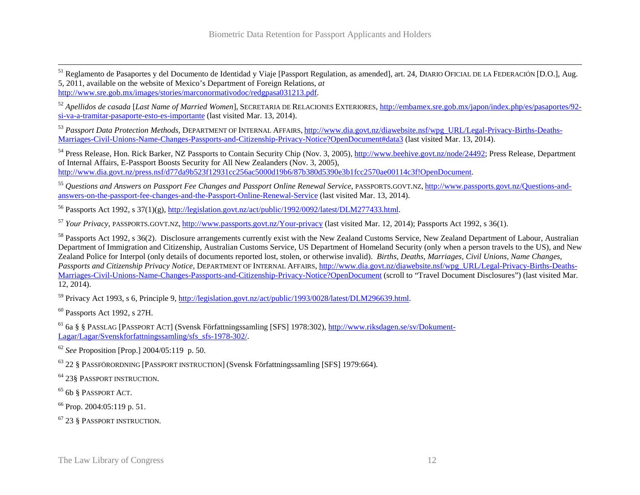<span id="page-12-1"></span><span id="page-12-0"></span><sup>51</sup> Reglamento de Pasaportes y del Documento de Identidad y Viaje [Passport Regulation, as amended], art. 24, DIARIO OFICIAL DE LA FEDERACIÓN [D.O.], Aug. 5, 2011, available on the website of Mexico's Department of Foreign Relations, *at*  [http://www.sre.gob.mx/images/stories/marconormativodoc/redgpasa031213.pdf.](http://www.sre.gob.mx/images/stories/marconormativodoc/redgpasa031213.pdf)  $\overline{a}$ 

<sup>52</sup> *Apellidos de casada* [*Last Name of Married Women*], SECRETARIA DE RELACIONES EXTERIORES, [http://embamex.sre.gob.mx/japon/index.php/es/pasaportes/92](http://embamex.sre.gob.mx/japon/index.php/es/pasaportes/92-si-va-a-tramitar-pasaporte-esto-es-importante) [si-va-a-tramitar-pasaporte-esto-es-importante](http://embamex.sre.gob.mx/japon/index.php/es/pasaportes/92-si-va-a-tramitar-pasaporte-esto-es-importante) (last visited Mar. 13, 2014).

<sup>53</sup> Passport Data Protection Methods, DEPARTMENT OF INTERNAL AFFAIRS, [http://www.dia.govt.nz/diawebsite.nsf/wpg\\_URL/Legal-Privacy-Births-Deaths-](http://www.dia.govt.nz/diawebsite.nsf/wpg_URL/Legal-Privacy-Births-Deaths-Marriages-Civil-Unions-Name-Changes-Passports-and-Citizenship-Privacy-Notice?OpenDocument%23data3)[Marriages-Civil-Unions-Name-Changes-Passports-and-Citizenship-Privacy-Notice?OpenDocument#data3](http://www.dia.govt.nz/diawebsite.nsf/wpg_URL/Legal-Privacy-Births-Deaths-Marriages-Civil-Unions-Name-Changes-Passports-and-Citizenship-Privacy-Notice?OpenDocument%23data3) (last visited Mar. 13, 2014).

<sup>54</sup> Press Release, Hon. Rick Barker, NZ Passports to Contain Security Chip (Nov. 3, 2005)[, http://www.beehive.govt.nz/node/24492;](http://www.beehive.govt.nz/node/24492) Press Release, Department of Internal Affairs, E-Passport Boosts Security for All New Zealanders (Nov. 3, 2005), [http://www.dia.govt.nz/press.nsf/d77da9b523f12931cc256ac5000d19b6/87b380d5390e3b1fcc2570ae00114c3f!OpenDocument.](http://www.dia.govt.nz/press.nsf/d77da9b523f12931cc256ac5000d19b6/87b380d5390e3b1fcc2570ae00114c3f!OpenDocument) 

<sup>55</sup> *Questions and Answers on Passport Fee Changes and Passport Online Renewal Service*, PASSPORTS.GOVT.NZ, [http://www.passports.govt.nz/Questions-and](http://www.passports.govt.nz/Questions-and-answers-on-the-passport-fee-changes-and-the-Passport-Online-Renewal-Service)[answers-on-the-passport-fee-changes-and-the-Passport-Online-Renewal-Service](http://www.passports.govt.nz/Questions-and-answers-on-the-passport-fee-changes-and-the-Passport-Online-Renewal-Service) (last visited Mar. 13, 2014).

<sup>56</sup> Passports Act 1992, s 37(1)(g), [http://legislation.govt.nz/act/public/1992/0092/latest/DLM277433.html.](http://legislation.govt.nz/act/public/1992/0092/latest/DLM277433.html)

<sup>57</sup> *Your Privacy*, PASSPORTS.GOVT.NZ, <http://www.passports.govt.nz/Your-privacy> (last visited Mar. 12, 2014); Passports Act 1992, s 36(1).

<sup>58</sup> Passports Act 1992, s 36(2). Disclosure arrangements currently exist with the New Zealand Customs Service, New Zealand Department of Labour, Australian Department of Immigration and Citizenship, Australian Customs Service, US Department of Homeland Security (only when a person travels to the US), and New Zealand Police for Interpol (only details of documents reported lost, stolen, or otherwise invalid). *Births, Deaths, Marriages, Civil Unions, Name Changes, Passports and Citizenship Privacy Notice*, DEPARTMENT OF INTERNAL AFFAIRS, [http://www.dia.govt.nz/diawebsite.nsf/wpg\\_URL/Legal-Privacy-Births-Deaths-](http://www.dia.govt.nz/diawebsite.nsf/wpg_URL/Legal-Privacy-Births-Deaths-Marriages-Civil-Unions-Name-Changes-Passports-and-Citizenship-Privacy-Notice?OpenDocument)[Marriages-Civil-Unions-Name-Changes-Passports-and-Citizenship-Privacy-Notice?OpenDocument](http://www.dia.govt.nz/diawebsite.nsf/wpg_URL/Legal-Privacy-Births-Deaths-Marriages-Civil-Unions-Name-Changes-Passports-and-Citizenship-Privacy-Notice?OpenDocument) (scroll to "Travel Document Disclosures") (last visited Mar. 12, 2014).

<sup>59</sup> Privacy Act 1993, s 6, Principle 9, [http://legislation.govt.nz/act/public/1993/0028/latest/DLM296639.html.](http://legislation.govt.nz/act/public/1993/0028/latest/DLM296639.html)

<sup>60</sup> Passports Act 1992, s 27H.

<sup>61</sup> 6a § § PASSLAG [PASSPORT ACT] (Svensk Författningssamling [SFS] 1978:302), [http://www.riksdagen.se/sv/Dokument-](http://www.riksdagen.se/sv/Dokument-Lagar/Lagar/Svenskforfattningssamling/sfs_sfs-1978-302/)[Lagar/Lagar/Svenskforfattningssamling/sfs\\_sfs-1978-302/.](http://www.riksdagen.se/sv/Dokument-Lagar/Lagar/Svenskforfattningssamling/sfs_sfs-1978-302/)

<sup>62</sup> *See* Proposition [Prop.] 2004/05:119 p. 50.

<sup>63</sup> 22 § PASSFÖRORDNING [PASSPORT INSTRUCTION] (Svensk Författningssamling [SFS] 1979:664).

<sup>64</sup> 23§ PASSPORT INSTRUCTION.

<sup>65</sup> 6b § PASSPORT ACT.

<sup>66</sup> Prop. 2004:05:119 p. 51.

<sup>67</sup> 23 § PASSPORT INSTRUCTION.